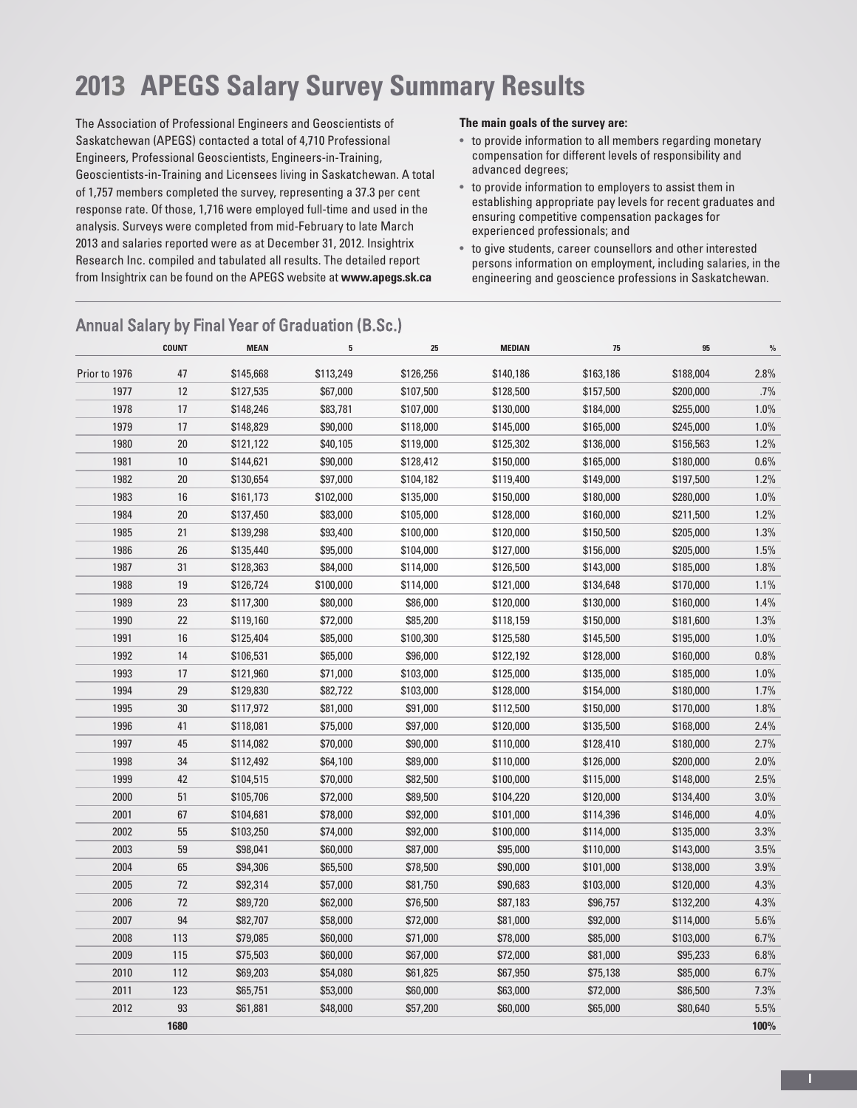# **2013 APEGS Salary Survey Summary Results**

The Association of Professional Engineers and Geoscientists of Saskatchewan (APEGS) contacted a total of 4,710 Professional Engineers, Professional Geoscientists, Engineers-in-Training, Geoscientists-in-Training and Licensees living in Saskatchewan. A total of 1,757 members completed the survey, representing a 37.3 per cent response rate. Of those, 1,716 were employed full-time and used in the analysis. Surveys were completed from mid-February to late March 2013 and salaries reported were as at December 31, 2012. Insightrix Research Inc. compiled and tabulated all results. The detailed report from Insightrix can be found on the APEGS website at **www.apegs.sk.ca**

#### **The main goals of the survey are:**

- to provide information to all members regarding monetary compensation for different levels of responsibility and advanced degrees;
- to provide information to employers to assist them in establishing appropriate pay levels for recent graduates and ensuring competitive compensation packages for experienced professionals; and
- to give students, career counsellors and other interested persons information on employment, including salaries, in the engineering and geoscience professions in Saskatchewan.

|               | <b>COUNT</b> | <b>MEAN</b> | 5         | 25        | <b>MEDIAN</b> | 75        | 95        | $\frac{0}{0}$ |
|---------------|--------------|-------------|-----------|-----------|---------------|-----------|-----------|---------------|
| Prior to 1976 | 47           | \$145,668   | \$113,249 | \$126,256 | \$140,186     | \$163,186 | \$188,004 | 2.8%          |
| 1977          | 12           | \$127,535   | \$67,000  | \$107,500 | \$128,500     | \$157,500 | \$200,000 | .7%           |
| 1978          | 17           | \$148,246   | \$83,781  | \$107,000 | \$130,000     | \$184,000 | \$255,000 | 1.0%          |
| 1979          | 17           | \$148,829   | \$90,000  | \$118,000 | \$145,000     | \$165,000 | \$245,000 | 1.0%          |
| 1980          | 20           | \$121,122   | \$40,105  | \$119,000 | \$125,302     | \$136,000 | \$156,563 | 1.2%          |
| 1981          | 10           | \$144,621   | \$90,000  | \$128,412 | \$150,000     | \$165,000 | \$180,000 | 0.6%          |
| 1982          | 20           | \$130,654   | \$97,000  | \$104,182 | \$119,400     | \$149,000 | \$197,500 | 1.2%          |
| 1983          | 16           | \$161,173   | \$102,000 | \$135,000 | \$150,000     | \$180,000 | \$280,000 | 1.0%          |
| 1984          | 20           | \$137,450   | \$83,000  | \$105,000 | \$128,000     | \$160,000 | \$211,500 | 1.2%          |
| 1985          | 21           | \$139,298   | \$93,400  | \$100,000 | \$120,000     | \$150,500 | \$205,000 | 1.3%          |
| 1986          | 26           | \$135,440   | \$95,000  | \$104,000 | \$127,000     | \$156,000 | \$205,000 | 1.5%          |
| 1987          | 31           | \$128,363   | \$84,000  | \$114,000 | \$126,500     | \$143,000 | \$185,000 | 1.8%          |
| 1988          | 19           | \$126,724   | \$100,000 | \$114,000 | \$121,000     | \$134,648 | \$170,000 | 1.1%          |
| 1989          | 23           | \$117,300   | \$80,000  | \$86,000  | \$120,000     | \$130,000 | \$160,000 | 1.4%          |
| 1990          | 22           | \$119,160   | \$72,000  | \$85,200  | \$118,159     | \$150,000 | \$181,600 | 1.3%          |
| 1991          | 16           | \$125,404   | \$85,000  | \$100,300 | \$125,580     | \$145,500 | \$195,000 | 1.0%          |
| 1992          | 14           | \$106,531   | \$65,000  | \$96,000  | \$122,192     | \$128,000 | \$160,000 | $0.8\%$       |
| 1993          | 17           | \$121,960   | \$71,000  | \$103,000 | \$125,000     | \$135,000 | \$185,000 | 1.0%          |
| 1994          | 29           | \$129,830   | \$82,722  | \$103,000 | \$128,000     | \$154,000 | \$180,000 | 1.7%          |
| 1995          | $30\,$       | \$117,972   | \$81,000  | \$91,000  | \$112,500     | \$150,000 | \$170,000 | 1.8%          |
| 1996          | 41           | \$118,081   | \$75,000  | \$97,000  | \$120,000     | \$135,500 | \$168,000 | 2.4%          |
| 1997          | 45           | \$114,082   | \$70,000  | \$90,000  | \$110,000     | \$128,410 | \$180,000 | 2.7%          |
| 1998          | 34           | \$112,492   | \$64,100  | \$89,000  | \$110,000     | \$126,000 | \$200,000 | 2.0%          |
| 1999          | 42           | \$104,515   | \$70,000  | \$82,500  | \$100,000     | \$115,000 | \$148,000 | 2.5%          |
| 2000          | 51           | \$105,706   | \$72,000  | \$89,500  | \$104,220     | \$120,000 | \$134,400 | 3.0%          |
| 2001          | 67           | \$104,681   | \$78,000  | \$92,000  | \$101,000     | \$114,396 | \$146,000 | 4.0%          |
| 2002          | 55           | \$103,250   | \$74,000  | \$92,000  | \$100,000     | \$114,000 | \$135,000 | 3.3%          |
| 2003          | 59           | \$98,041    | \$60,000  | \$87,000  | \$95,000      | \$110,000 | \$143,000 | 3.5%          |
| 2004          | 65           | \$94,306    | \$65,500  | \$78,500  | \$90,000      | \$101,000 | \$138,000 | 3.9%          |
| 2005          | 72           | \$92,314    | \$57,000  | \$81,750  | \$90,683      | \$103,000 | \$120,000 | 4.3%          |
| 2006          | 72           | \$89,720    | \$62,000  | \$76,500  | \$87,183      | \$96,757  | \$132,200 | 4.3%          |
| 2007          | 94           | \$82,707    | \$58,000  | \$72,000  | \$81,000      | \$92,000  | \$114,000 | 5.6%          |
| 2008          | 113          | \$79,085    | \$60,000  | \$71,000  | \$78,000      | \$85,000  | \$103,000 | 6.7%          |
| 2009          | 115          | \$75,503    | \$60,000  | \$67,000  | \$72,000      | \$81,000  | \$95,233  | 6.8%          |
| 2010          | 112          | \$69,203    | \$54,080  | \$61,825  | \$67,950      | \$75,138  | \$85,000  | 6.7%          |
| 2011          | 123          | \$65,751    | \$53,000  | \$60,000  | \$63,000      | \$72,000  | \$86,500  | 7.3%          |
| 2012          | 93           | \$61,881    | \$48,000  | \$57,200  | \$60,000      | \$65,000  | \$80,640  | 5.5%          |
|               | 1680         |             |           |           |               |           |           | 100%          |

### Annual Salary by Final Year of Graduation (B.Sc.)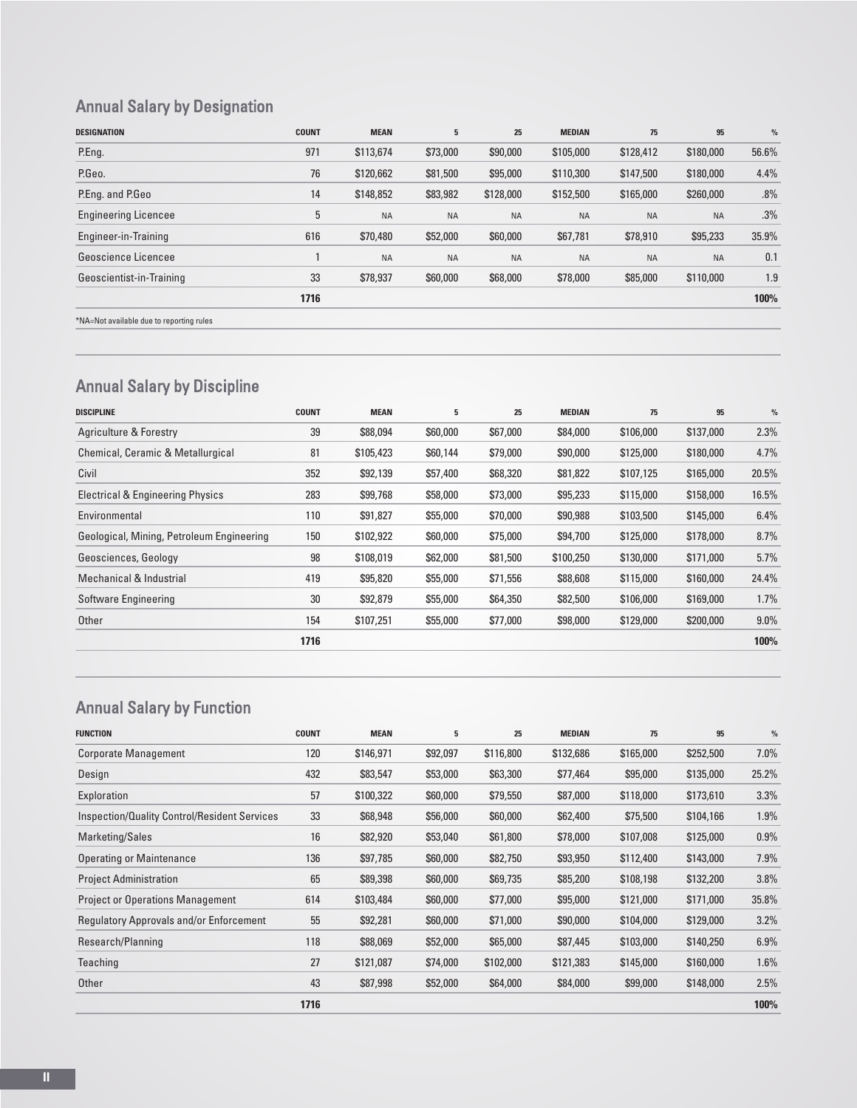# Annual Salary by Designation

| <b>DESIGNATION</b>                       | <b>COUNT</b> | <b>MEAN</b> | 5         | 25        | <b>MEDIAN</b> | 75        | 95        | $\frac{9}{6}$ |
|------------------------------------------|--------------|-------------|-----------|-----------|---------------|-----------|-----------|---------------|
| P.Eng.                                   | 971          | \$113,674   | \$73,000  | \$90,000  | \$105,000     | \$128,412 | \$180,000 | 56.6%         |
| P.Geo.                                   | 76           | \$120,662   | \$81,500  | \$95,000  | \$110,300     | \$147,500 | \$180,000 | 4.4%          |
| P.Eng. and P.Geo                         | 14           | \$148,852   | \$83,982  | \$128,000 | \$152,500     | \$165,000 | \$260,000 | .8%           |
| <b>Engineering Licencee</b>              | 5            | <b>NA</b>   | <b>NA</b> | <b>NA</b> | <b>NA</b>     | <b>NA</b> | <b>NA</b> | .3%           |
| Engineer-in-Training                     | 616          | \$70,480    | \$52,000  | \$60,000  | \$67,781      | \$78,910  | \$95,233  | 35.9%         |
| Geoscience Licencee                      |              | <b>NA</b>   | <b>NA</b> | <b>NA</b> | <b>NA</b>     | <b>NA</b> | <b>NA</b> | 0.1           |
| Geoscientist-in-Training                 | 33           | \$78,937    | \$60,000  | \$68,000  | \$78,000      | \$85,000  | \$110,000 | 1.9           |
|                                          | 1716         |             |           |           |               |           |           | 100%          |
| *NA=Not available due to reporting rules |              |             |           |           |               |           |           |               |

# Annual Salary by Discipline

| <b>DISCIPLINE</b>                           | <b>COUNT</b> | <b>MEAN</b> | 5        | 25       | <b>MEDIAN</b> | 75        | 95        | $\frac{9}{6}$ |
|---------------------------------------------|--------------|-------------|----------|----------|---------------|-----------|-----------|---------------|
| Agriculture & Forestry                      | 39           | \$88,094    | \$60,000 | \$67,000 | \$84,000      | \$106,000 | \$137,000 | 2.3%          |
| Chemical, Ceramic & Metallurgical           | 81           | \$105,423   | \$60,144 | \$79,000 | \$90,000      | \$125,000 | \$180,000 | 4.7%          |
| Civil                                       | 352          | \$92,139    | \$57,400 | \$68,320 | \$81,822      | \$107,125 | \$165,000 | 20.5%         |
| <b>Electrical &amp; Engineering Physics</b> | 283          | \$99,768    | \$58,000 | \$73,000 | \$95,233      | \$115,000 | \$158,000 | 16.5%         |
| Environmental                               | 110          | \$91,827    | \$55,000 | \$70,000 | \$90,988      | \$103,500 | \$145,000 | 6.4%          |
| Geological, Mining, Petroleum Engineering   | 150          | \$102,922   | \$60,000 | \$75,000 | \$94,700      | \$125,000 | \$178,000 | 8.7%          |
| Geosciences, Geology                        | 98           | \$108,019   | \$62,000 | \$81,500 | \$100,250     | \$130,000 | \$171,000 | 5.7%          |
| Mechanical & Industrial                     | 419          | \$95,820    | \$55,000 | \$71,556 | \$88,608      | \$115,000 | \$160,000 | 24.4%         |
| Software Engineering                        | 30           | \$92,879    | \$55,000 | \$64,350 | \$82,500      | \$106,000 | \$169,000 | 1.7%          |
| Other                                       | 154          | \$107,251   | \$55,000 | \$77,000 | \$98,000      | \$129,000 | \$200,000 | $9.0\%$       |
|                                             | 1716         |             |          |          |               |           |           | 100%          |

# Annual Salary by Function

| <b>FUNCTION</b>                                | <b>COUNT</b> | <b>MEAN</b> | 5        | 25        | <b>MEDIAN</b> | 75        | 95        | $\frac{9}{6}$ |
|------------------------------------------------|--------------|-------------|----------|-----------|---------------|-----------|-----------|---------------|
| <b>Corporate Management</b>                    | 120          | \$146,971   | \$92,097 | \$116,800 | \$132,686     | \$165,000 | \$252,500 | $7.0\%$       |
| Design                                         | 432          | \$83,547    | \$53,000 | \$63,300  | \$77,464      | \$95,000  | \$135,000 | 25.2%         |
| Exploration                                    | 57           | \$100,322   | \$60,000 | \$79,550  | \$87,000      | \$118,000 | \$173,610 | 3.3%          |
| Inspection/Quality Control/Resident Services   | 33           | \$68,948    | \$56,000 | \$60,000  | \$62,400      | \$75,500  | \$104,166 | 1.9%          |
| Marketing/Sales                                | 16           | \$82,920    | \$53,040 | \$61,800  | \$78,000      | \$107,008 | \$125,000 | 0.9%          |
| <b>Operating or Maintenance</b>                | 136          | \$97,785    | \$60,000 | \$82,750  | \$93,950      | \$112,400 | \$143,000 | 7.9%          |
| <b>Project Administration</b>                  | 65           | \$89,398    | \$60,000 | \$69,735  | \$85,200      | \$108,198 | \$132,200 | 3.8%          |
| <b>Project or Operations Management</b>        | 614          | \$103,484   | \$60,000 | \$77,000  | \$95,000      | \$121,000 | \$171,000 | 35.8%         |
| <b>Regulatory Approvals and/or Enforcement</b> | 55           | \$92,281    | \$60,000 | \$71,000  | \$90,000      | \$104,000 | \$129,000 | 3.2%          |
| Research/Planning                              | 118          | \$88,069    | \$52,000 | \$65,000  | \$87,445      | \$103,000 | \$140,250 | 6.9%          |
| Teaching                                       | 27           | \$121,087   | \$74,000 | \$102,000 | \$121,383     | \$145,000 | \$160,000 | 1.6%          |
| Other                                          | 43           | \$87,998    | \$52,000 | \$64,000  | \$84,000      | \$99,000  | \$148,000 | 2.5%          |
|                                                | 1716         |             |          |           |               |           |           | 100%          |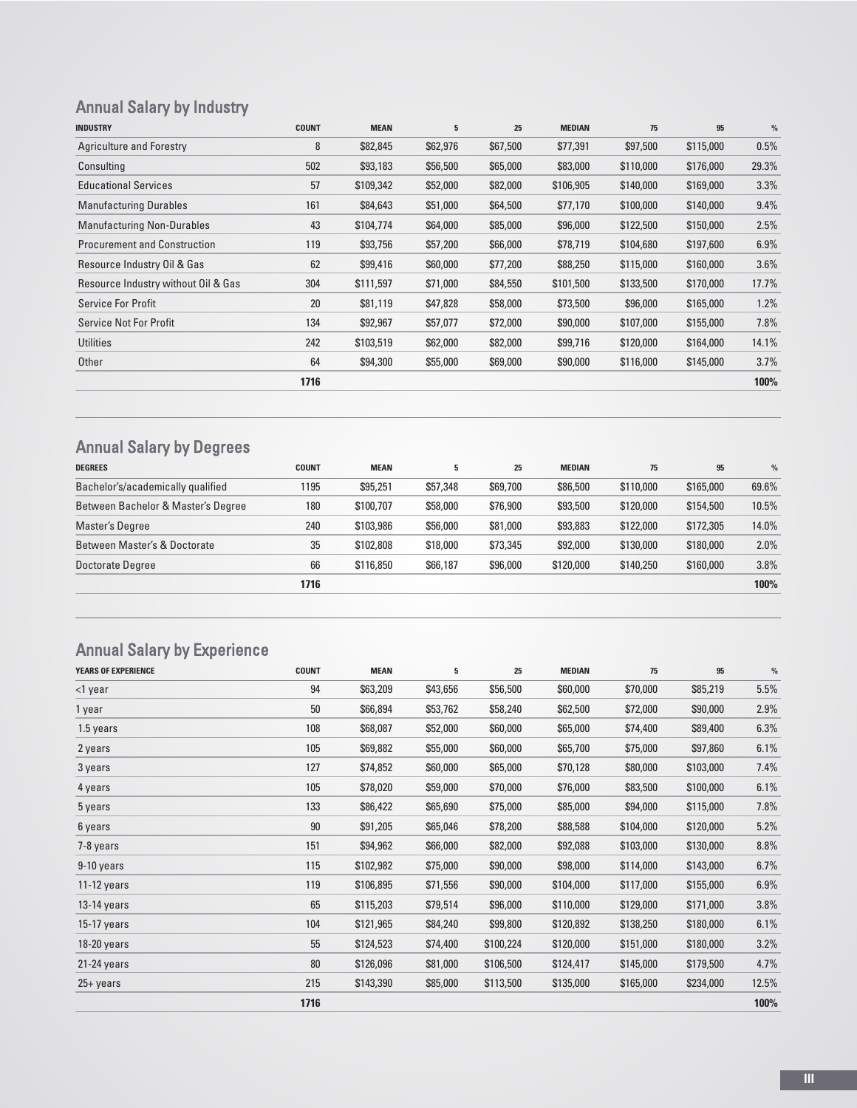# Annual Salary by Industry

| <b>INDUSTRY</b>                     | <b>COUNT</b> | <b>MEAN</b> | 5        | 25       | <b>MEDIAN</b> | 75        | 95        | $\frac{9}{6}$ |
|-------------------------------------|--------------|-------------|----------|----------|---------------|-----------|-----------|---------------|
| <b>Agriculture and Forestry</b>     | 8            | \$82,845    | \$62,976 | \$67,500 | \$77,391      | \$97,500  | \$115,000 | 0.5%          |
| Consulting                          | 502          | \$93,183    | \$56,500 | \$65,000 | \$83,000      | \$110,000 | \$176,000 | 29.3%         |
| <b>Educational Services</b>         | 57           | \$109,342   | \$52,000 | \$82,000 | \$106,905     | \$140,000 | \$169,000 | 3.3%          |
| <b>Manufacturing Durables</b>       | 161          | \$84,643    | \$51,000 | \$64,500 | \$77,170      | \$100,000 | \$140,000 | 9.4%          |
| <b>Manufacturing Non-Durables</b>   | 43           | \$104,774   | \$64,000 | \$85,000 | \$96,000      | \$122,500 | \$150,000 | 2.5%          |
| <b>Procurement and Construction</b> | 119          | \$93,756    | \$57,200 | \$66,000 | \$78,719      | \$104,680 | \$197,600 | 6.9%          |
| Resource Industry Oil & Gas         | 62           | \$99,416    | \$60,000 | \$77,200 | \$88,250      | \$115,000 | \$160,000 | 3.6%          |
| Resource Industry without Oil & Gas | 304          | \$111,597   | \$71,000 | \$84,550 | \$101,500     | \$133,500 | \$170,000 | 17.7%         |
| <b>Service For Profit</b>           | 20           | \$81,119    | \$47,828 | \$58,000 | \$73,500      | \$96,000  | \$165,000 | 1.2%          |
| <b>Service Not For Profit</b>       | 134          | \$92,967    | \$57,077 | \$72,000 | \$90,000      | \$107,000 | \$155,000 | 7.8%          |
| <b>Utilities</b>                    | 242          | \$103,519   | \$62,000 | \$82,000 | \$99,716      | \$120,000 | \$164,000 | 14.1%         |
| Other                               | 64           | \$94,300    | \$55,000 | \$69,000 | \$90,000      | \$116,000 | \$145,000 | 3.7%          |
|                                     | 1716         |             |          |          |               |           |           | 100%          |

### Annual Salary by Degrees

| <b>DEGREES</b>                     | <b>COUNT</b> | <b>MEAN</b> | 5        | 25       | <b>MEDIAN</b> | 75        | 95        | $\frac{9}{6}$ |
|------------------------------------|--------------|-------------|----------|----------|---------------|-----------|-----------|---------------|
| Bachelor's/academically qualified  | 1195         | \$95,251    | \$57,348 | \$69,700 | \$86,500      | \$110,000 | \$165,000 | 69.6%         |
| Between Bachelor & Master's Degree | 180          | \$100,707   | \$58,000 | \$76,900 | \$93,500      | \$120,000 | \$154,500 | 10.5%         |
| <b>Master's Degree</b>             | 240          | \$103,986   | \$56,000 | \$81,000 | \$93,883      | \$122,000 | \$172,305 | 14.0%         |
| Between Master's & Doctorate       | 35           | \$102,808   | \$18,000 | \$73,345 | \$92,000      | \$130,000 | \$180,000 | 2.0%          |
| Doctorate Degree                   | 66           | \$116,850   | \$66,187 | \$96,000 | \$120,000     | \$140,250 | \$160,000 | 3.8%          |
|                                    | 1716         |             |          |          |               |           |           | 100%          |
|                                    |              |             |          |          |               |           |           |               |

# Annual Salary by Experience

| <b>YEARS OF EXPERIENCE</b> | <b>COUNT</b> | <b>MEAN</b> | 5        | 25        | <b>MEDIAN</b> | 75        | 95        | $\%$  |
|----------------------------|--------------|-------------|----------|-----------|---------------|-----------|-----------|-------|
| <1 year                    | 94           | \$63,209    | \$43,656 | \$56,500  | \$60,000      | \$70,000  | \$85,219  | 5.5%  |
| 1 year                     | 50           | \$66,894    | \$53,762 | \$58,240  | \$62,500      | \$72,000  | \$90,000  | 2.9%  |
| 1.5 years                  | 108          | \$68,087    | \$52,000 | \$60,000  | \$65,000      | \$74,400  | \$89,400  | 6.3%  |
| 2 years                    | 105          | \$69,882    | \$55,000 | \$60,000  | \$65,700      | \$75,000  | \$97,860  | 6.1%  |
| 3 years                    | 127          | \$74,852    | \$60,000 | \$65,000  | \$70,128      | \$80,000  | \$103,000 | 7.4%  |
| 4 years                    | 105          | \$78,020    | \$59,000 | \$70,000  | \$76,000      | \$83,500  | \$100,000 | 6.1%  |
| 5 years                    | 133          | \$86,422    | \$65,690 | \$75,000  | \$85,000      | \$94,000  | \$115,000 | 7.8%  |
| 6 years                    | 90           | \$91,205    | \$65,046 | \$78,200  | \$88,588      | \$104,000 | \$120,000 | 5.2%  |
| 7-8 years                  | 151          | \$94,962    | \$66,000 | \$82,000  | \$92,088      | \$103,000 | \$130,000 | 8.8%  |
| 9-10 years                 | 115          | \$102,982   | \$75,000 | \$90,000  | \$98,000      | \$114,000 | \$143,000 | 6.7%  |
| $11-12$ years              | 119          | \$106,895   | \$71,556 | \$90,000  | \$104,000     | \$117,000 | \$155,000 | 6.9%  |
| $13-14$ years              | 65           | \$115,203   | \$79,514 | \$96,000  | \$110,000     | \$129,000 | \$171,000 | 3.8%  |
| 15-17 years                | 104          | \$121,965   | \$84,240 | \$99,800  | \$120,892     | \$138,250 | \$180,000 | 6.1%  |
| 18-20 years                | 55           | \$124,523   | \$74,400 | \$100,224 | \$120,000     | \$151,000 | \$180,000 | 3.2%  |
| 21-24 years                | 80           | \$126,096   | \$81,000 | \$106,500 | \$124,417     | \$145,000 | \$179,500 | 4.7%  |
| $25 + years$               | 215          | \$143,390   | \$85,000 | \$113,500 | \$135,000     | \$165,000 | \$234,000 | 12.5% |
|                            | 1716         |             |          |           |               |           |           | 100%  |